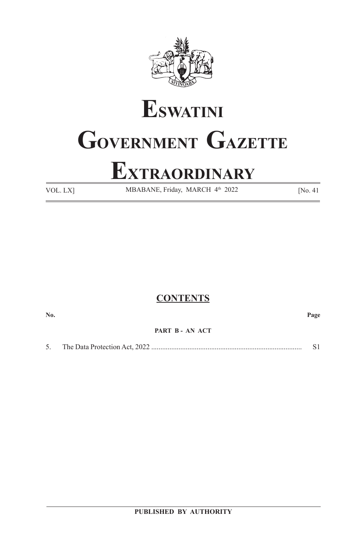

# **ESWATINI GOVERNMENT GAZETTE**

## **EXTRAORDINARY**

VOL. LX] MBABANE, Friday, MARCH 4<sup>th</sup> 2022 [No. 41]

#### **CONTENTS**

**No. Page**

**PART B - AN ACT**

5. The Data Protection Act, 2022 ................................................................................... S1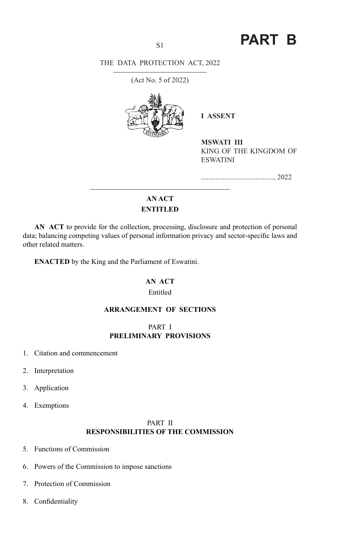### S1 **PART B**

#### THE DATA PROTECTION ACT, 2022

(Act No. 5 of 2022)



**I ASSENT** 

**MSWATI III** KING OF THE KINGDOM OF ESWATINI

........................................, 2022

#### **AN ACT ENTITLED**

**AN ACT** to provide for the collection, processing, disclosure and protection of personal data; balancing competing values of personal information privacy and sector-specific laws and other related matters.

**ENACTED** by the King and the Parliament of Eswatini.

#### **AN ACT**

#### Entitled

#### **ARRANGEMENT OF SECTIONS**

#### PART I **PRELIMINARY PROVISIONS**

- 1. Citation and commencement
- 2. Interpretation
- 3. Application
- 4. Exemptions

#### PART II **RESPONSIBILITIES OF THE COMMISSION**

- 5. Functions of Commission
- 6. Powers of the Commission to impose sanctions
- 7. Protection of Commission
- 8. Confidentiality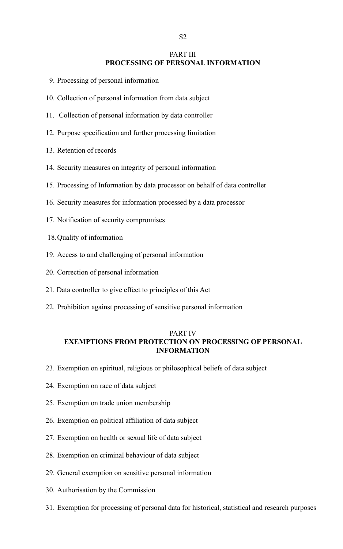#### PART III

#### **PROCESSING OF PERSONAL INFORMATION**

- 9. Processing of personal information
- 10. Collection of personal information from data subject
- 11. Collection of personal information by data controller
- 12. Purpose specification and further processing limitation
- 13. Retention of records
- 14. Security measures on integrity of personal information
- 15. Processing of Information by data processor on behalf of data controller
- 16. Security measures for information processed by a data processor
- 17. Notification of security compromises
- 18.Quality of information
- 19. Access to and challenging of personal information
- 20. Correction of personal information
- 21. Data controller to give effect to principles of this Act
- 22. Prohibition against processing of sensitive personal information

#### PART IV **EXEMPTIONS FROM PROTECTION ON PROCESSING OF PERSONAL INFORMATION**

- 23. Exemption on spiritual, religious or philosophical beliefs of data subject
- 24. Exemption on race of data subject
- 25. Exemption on trade union membership
- 26. Exemption on political affiliation of data subject
- 27. Exemption on health or sexual life of data subject
- 28. Exemption on criminal behaviour of data subject
- 29. General exemption on sensitive personal information
- 30. Authorisation by the Commission
- 31. Exemption for processing of personal data for historical, statistical and research purposes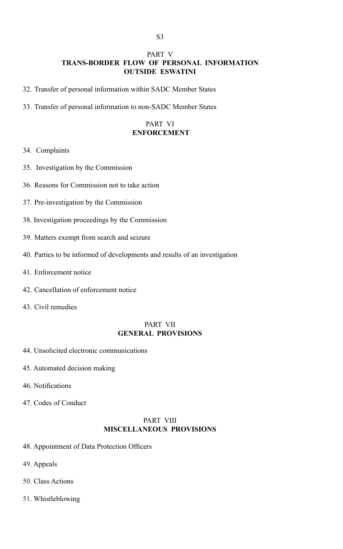#### PART V **TRANS-BORDER FLOW OF PERSONAL INFORMATION OUTSIDE ESWATINI**

- 32. Transfer of personal information within SADC Member States
- 33. Transfer of personal information to non-SADC Member States

#### PART VI  **ENFORCEMENT**

#### 34. Complaints

- 35. Investigation by the Commission
- 36. Reasons for Commission not to take action
- 37. Pre-investigation by the Commission
- 38. Investigation proceedings by the Commission
- 39. Matters exempt from search and seizure
- 40. Parties to be informed of developments and results of an investigation
- 41. Enforcement notice
- 42. Cancellation of enforcement notice
- 43. Civil remedies

#### PART VII **GENERAL PROVISIONS**

- 44. Unsolicited electronic communications
- 45. Automated decision making
- 46. Notifications
- 47. Codes of Conduct

#### PART VIII **MISCELLANEOUS PROVISIONS**

- 48. Appointment of Data Protection Officers
- 49. Appeals
- 50. Class Actions
- 51. Whistleblowing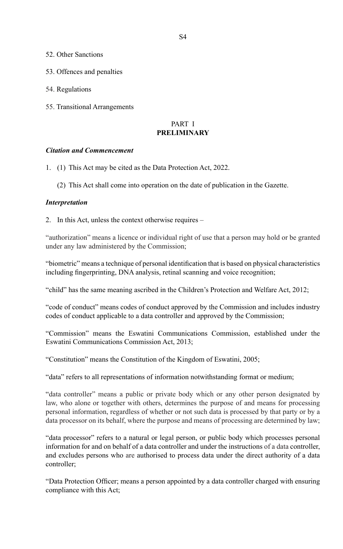- 52. Other Sanctions
- 53. Offences and penalties
- 54. Regulations
- 55. Transitional Arrangements

#### PART I **PRELIMINARY**

#### *Citation and Commencement*

- 1. (1) This Act may be cited as the Data Protection Act, 2022.
	- (2) This Act shall come into operation on the date of publication in the Gazette.

#### *Interpretation*

2. In this Act, unless the context otherwise requires –

"authorization" means a licence or individual right of use that a person may hold or be granted under any law administered by the Commission;

"biometric" means a technique of personal identification that is based on physical characteristics including fingerprinting, DNA analysis, retinal scanning and voice recognition;

"child" has the same meaning ascribed in the Children's Protection and Welfare Act, 2012;

"code of conduct" means codes of conduct approved by the Commission and includes industry codes of conduct applicable to a data controller and approved by the Commission;

"Commission" means the Eswatini Communications Commission, established under the Eswatini Communications Commission Act, 2013;

"Constitution" means the Constitution of the Kingdom of Eswatini, 2005;

"data" refers to all representations of information notwithstanding format or medium;

"data controller" means a public or private body which or any other person designated by law, who alone or together with others, determines the purpose of and means for processing personal information, regardless of whether or not such data is processed by that party or by a data processor on its behalf, where the purpose and means of processing are determined by law;

"data processor" refers to a natural or legal person, or public body which processes personal information for and on behalf of a data controller and under the instructions of a data controller, and excludes persons who are authorised to process data under the direct authority of a data controller;

"Data Protection Officer; means a person appointed by a data controller charged with ensuring compliance with this Act;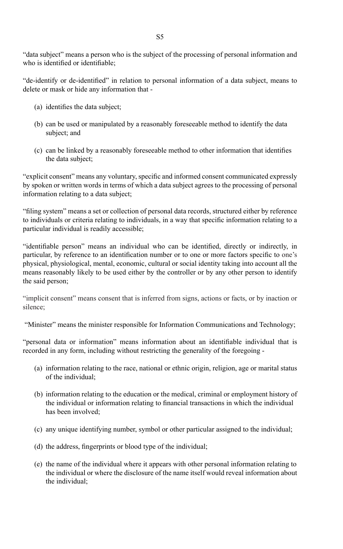"data subject" means a person who is the subject of the processing of personal information and who is identified or identifiable;

"de-identify or de-identified" in relation to personal information of a data subject, means to delete or mask or hide any information that -

- (a) identifies the data subject;
- (b) can be used or manipulated by a reasonably foreseeable method to identify the data subject; and
- (c) can be linked by a reasonably foreseeable method to other information that identifies the data subject;

"explicit consent" means any voluntary, specific and informed consent communicated expressly by spoken or written words in terms of which a data subject agrees to the processing of personal information relating to a data subject;

"filing system" means a set or collection of personal data records, structured either by reference to individuals or criteria relating to individuals, in a way that specific information relating to a particular individual is readily accessible;

"identifiable person" means an individual who can be identified, directly or indirectly, in particular, by reference to an identification number or to one or more factors specific to one's physical, physiological, mental, economic, cultural or social identity taking into account all the means reasonably likely to be used either by the controller or by any other person to identify the said person;

"implicit consent" means consent that is inferred from signs, actions or facts, or by inaction or silence;

"Minister" means the minister responsible for Information Communications and Technology;

"personal data or information" means information about an identifiable individual that is recorded in any form, including without restricting the generality of the foregoing -

- (a) information relating to the race, national or ethnic origin, religion, age or marital status of the individual;
- (b) information relating to the education or the medical, criminal or employment history of the individual or information relating to financial transactions in which the individual has been involved;
- (c) any unique identifying number, symbol or other particular assigned to the individual;
- (d) the address, fingerprints or blood type of the individual;
- (e) the name of the individual where it appears with other personal information relating to the individual or where the disclosure of the name itself would reveal information about the individual;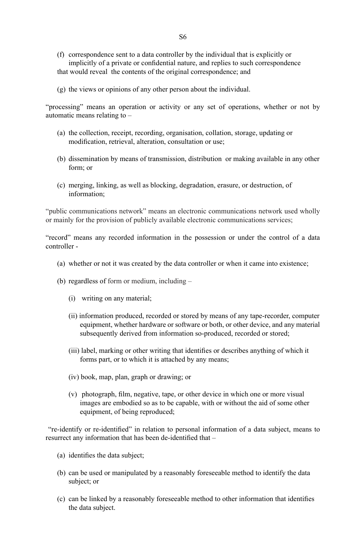- (f) correspondence sent to a data controller by the individual that is explicitly or implicitly of a private or confidential nature, and replies to such correspondence that would reveal the contents of the original correspondence; and
- (g) the views or opinions of any other person about the individual.

"processing" means an operation or activity or any set of operations, whether or not by automatic means relating to –

- (a) the collection, receipt, recording, organisation, collation, storage, updating or modification, retrieval, alteration, consultation or use;
- (b) dissemination by means of transmission, distribution or making available in any other form; or
- (c) merging, linking, as well as blocking, degradation, erasure, or destruction, of information;

"public communications network" means an electronic communications network used wholly or mainly for the provision of publicly available electronic communications services;

"record" means any recorded information in the possession or under the control of a data controller -

- (a) whether or not it was created by the data controller or when it came into existence;
- (b) regardless of form or medium, including
	- (i) writing on any material;
	- (ii) information produced, recorded or stored by means of any tape-recorder, computer equipment, whether hardware or software or both, or other device, and any material subsequently derived from information so-produced, recorded or stored;
	- (iii) label, marking or other writing that identifies or describes anything of which it forms part, or to which it is attached by any means;
	- (iv) book, map, plan, graph or drawing; or
	- (v) photograph, film, negative, tape, or other device in which one or more visual images are embodied so as to be capable, with or without the aid of some other equipment, of being reproduced;

 "re-identify or re-identified" in relation to personal information of a data subject, means to resurrect any information that has been de-identified that –

- (a) identifies the data subject;
- (b) can be used or manipulated by a reasonably foreseeable method to identify the data subject; or
- (c) can be linked by a reasonably foreseeable method to other information that identifies the data subject.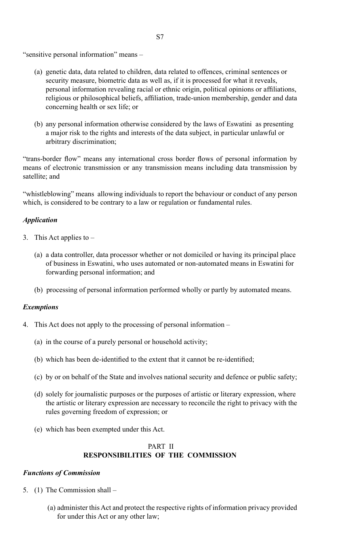"sensitive personal information" means –

- (a) genetic data, data related to children, data related to offences, criminal sentences or security measure, biometric data as well as, if it is processed for what it reveals, personal information revealing racial or ethnic origin, political opinions or affiliations, religious or philosophical beliefs, affiliation, trade-union membership, gender and data concerning health or sex life; or
- (b) any personal information otherwise considered by the laws of Eswatini as presenting a major risk to the rights and interests of the data subject, in particular unlawful or arbitrary discrimination;

"trans-border flow" means any international cross border flows of personal information by means of electronic transmission or any transmission means including data transmission by satellite; and

"whistleblowing" means allowing individuals to report the behaviour or conduct of any person which, is considered to be contrary to a law or regulation or fundamental rules.

#### *Application*

- 3. This Act applies to  $-$ 
	- (a) a data controller, data processor whether or not domiciled or having its principal place of business in Eswatini, who uses automated or non-automated means in Eswatini for forwarding personal information; and
	- (b) processing of personal information performed wholly or partly by automated means.

#### *Exemptions*

- 4. This Act does not apply to the processing of personal information
	- (a) in the course of a purely personal or household activity;
	- (b) which has been de-identified to the extent that it cannot be re-identified;
	- (c) by or on behalf of the State and involves national security and defence or public safety;
	- (d) solely for journalistic purposes or the purposes of artistic or literary expression, where the artistic or literary expression are necessary to reconcile the right to privacy with the rules governing freedom of expression; or
	- (e) which has been exempted under this Act.

#### PART II **RESPONSIBILITIES OF THE COMMISSION**

#### *Functions of Commission*

- 5. (1) The Commission shall
	- (a) administer this Act and protect the respective rights of information privacy provided for under this Act or any other law;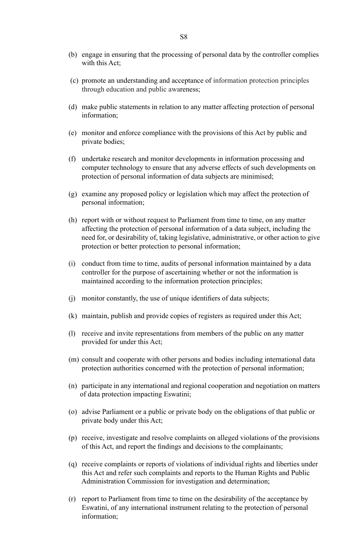- (b) engage in ensuring that the processing of personal data by the controller complies with this Act:
- (c) promote an understanding and acceptance of information protection principles through education and public awareness;
- (d) make public statements in relation to any matter affecting protection of personal information;
- (e) monitor and enforce compliance with the provisions of this Act by public and private bodies;
- (f) undertake research and monitor developments in information processing and computer technology to ensure that any adverse effects of such developments on protection of personal information of data subjects are minimised;
- (g) examine any proposed policy or legislation which may affect the protection of personal information;
- (h) report with or without request to Parliament from time to time, on any matter affecting the protection of personal information of a data subject, including the need for, or desirability of, taking legislative, administrative, or other action to give protection or better protection to personal information;
- (i) conduct from time to time, audits of personal information maintained by a data controller for the purpose of ascertaining whether or not the information is maintained according to the information protection principles;
- (j) monitor constantly, the use of unique identifiers of data subjects;
- (k) maintain, publish and provide copies of registers as required under this Act;
- (l) receive and invite representations from members of the public on any matter provided for under this Act;
- (m) consult and cooperate with other persons and bodies including international data protection authorities concerned with the protection of personal information;
- (n) participate in any international and regional cooperation and negotiation on matters of data protection impacting Eswatini;
- (o) advise Parliament or a public or private body on the obligations of that public or private body under this Act;
- (p) receive, investigate and resolve complaints on alleged violations of the provisions of this Act, and report the findings and decisions to the complainants;
- (q) receive complaints or reports of violations of individual rights and liberties under this Act and refer such complaints and reports to the Human Rights and Public Administration Commission for investigation and determination;
- (r) report to Parliament from time to time on the desirability of the acceptance by Eswatini, of any international instrument relating to the protection of personal information;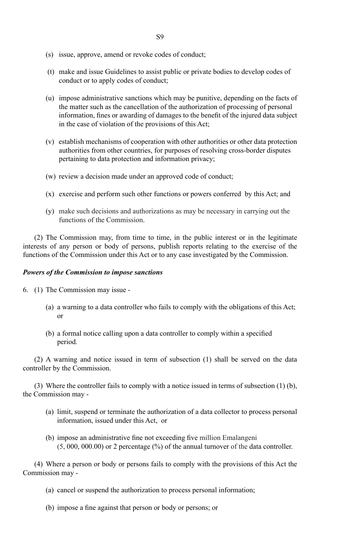- (s) issue, approve, amend or revoke codes of conduct;
- (t) make and issue Guidelines to assist public or private bodies to develop codes of conduct or to apply codes of conduct;
- (u) impose administrative sanctions which may be punitive, depending on the facts of the matter such as the cancellation of the authorization of processing of personal information, fines or awarding of damages to the benefit of the injured data subject in the case of violation of the provisions of this Act;
- (v) establish mechanisms of cooperation with other authorities or other data protection authorities from other countries, for purposes of resolving cross-border disputes pertaining to data protection and information privacy;
- (w) review a decision made under an approved code of conduct;
- (x) exercise and perform such other functions or powers conferred by this Act; and
- (y) make such decisions and authorizations as may be necessary in carrying out the functions of the Commission.

(2) The Commission may, from time to time, in the public interest or in the legitimate interests of any person or body of persons, publish reports relating to the exercise of the functions of the Commission under this Act or to any case investigated by the Commission.

#### *Powers of the Commission to impose sanctions*

- 6. (1) The Commission may issue -
- (a) a warning to a data controller who fails to comply with the obligations of this Act; or
	- (b) a formal notice calling upon a data controller to comply within a specified period.

(2) A warning and notice issued in term of subsection (1) shall be served on the data controller by the Commission.

(3) Where the controller fails to comply with a notice issued in terms of subsection (1) (b), the Commission may -

- (a) limit, suspend or terminate the authorization of a data collector to process personal information, issued under this Act, or
- (b) impose an administrative fine not exceeding five million Emalangeni (5, 000, 000.00) or 2 percentage (%) of the annual turnover of the data controller.

(4) Where a person or body or persons fails to comply with the provisions of this Act the Commission may -

- (a) cancel or suspend the authorization to process personal information;
- (b) impose a fine against that person or body or persons; or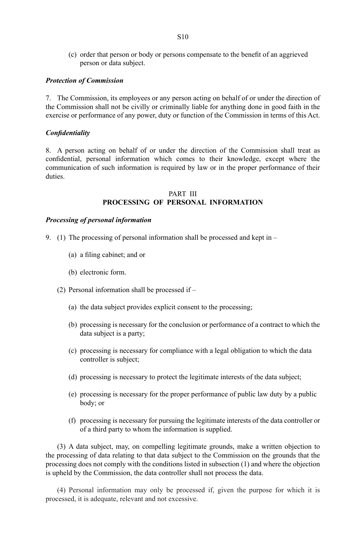(c) order that person or body or persons compensate to the benefit of an aggrieved person or data subject.

#### *Protection of Commission*

7. The Commission, its employees or any person acting on behalf of or under the direction of the Commission shall not be civilly or criminally liable for anything done in good faith in the exercise or performance of any power, duty or function of the Commission in terms of this Act.

#### *Confidentiality*

8. A person acting on behalf of or under the direction of the Commission shall treat as confidential, personal information which comes to their knowledge, except where the communication of such information is required by law or in the proper performance of their duties.

#### PART III **PROCESSING OF PERSONAL INFORMATION**

#### *Processing of personal information*

- 9. (1) The processing of personal information shall be processed and kept in
	- (a) a filing cabinet; and or
	- (b) electronic form.
	- (2) Personal information shall be processed if
		- (a) the data subject provides explicit consent to the processing;
		- (b) processing is necessary for the conclusion or performance of a contract to which the data subject is a party;
		- (c) processing is necessary for compliance with a legal obligation to which the data controller is subject;
		- (d) processing is necessary to protect the legitimate interests of the data subject;
		- (e) processing is necessary for the proper performance of public law duty by a public body; or
		- (f) processing is necessary for pursuing the legitimate interests of the data controller or of a third party to whom the information is supplied.

(3) A data subject, may, on compelling legitimate grounds, make a written objection to the processing of data relating to that data subject to the Commission on the grounds that the processing does not comply with the conditions listed in subsection (1) and where the objection is upheld by the Commission, the data controller shall not process the data.

(4) Personal information may only be processed if, given the purpose for which it is processed, it is adequate, relevant and not excessive.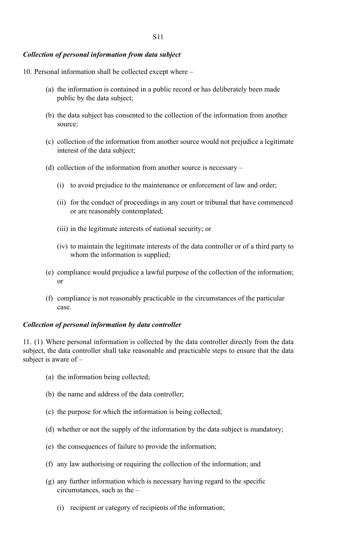#### *Collection of personal information from data subject*

10. Personal information shall be collected except where –

- (a) the information is contained in a public record or has deliberately been made public by the data subject;
- (b) the data subject has consented to the collection of the information from another source;
- (c) collection of the information from another source would not prejudice a legitimate interest of the data subject;
- (d) collection of the information from another source is necessary
	- (i) to avoid prejudice to the maintenance or enforcement of law and order;
	- (ii) for the conduct of proceedings in any court or tribunal that have commenced or are reasonably contemplated;
	- (iii) in the legitimate interests of national security; or
	- (iv) to maintain the legitimate interests of the data controller or of a third party to whom the information is supplied;
- (e) compliance would prejudice a lawful purpose of the collection of the information; or
- (f) compliance is not reasonably practicable in the circumstances of the particular case.

#### *Collection of personal information by data controller*

11. (1) Where personal information is collected by the data controller directly from the data subject, the data controller shall take reasonable and practicable steps to ensure that the data subject is aware of –

- (a) the information being collected;
- (b) the name and address of the data controller;
- (c) the purpose for which the information is being collected;
- (d) whether or not the supply of the information by the data subject is mandatory;
- (e) the consequences of failure to provide the information;
- (f) any law authorising or requiring the collection of the information; and
- (g) any further information which is necessary having regard to the specific circumstances, such as the –
	- (i) recipient or category of recipients of the information;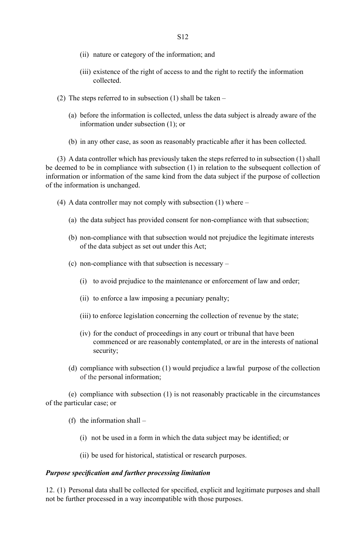- (ii) nature or category of the information; and
- (iii) existence of the right of access to and the right to rectify the information collected.
- (2) The steps referred to in subsection (1) shall be taken
	- (a) before the information is collected, unless the data subject is already aware of the information under subsection (1); or
	- (b) in any other case, as soon as reasonably practicable after it has been collected.

(3) A data controller which has previously taken the steps referred to in subsection (1) shall be deemed to be in compliance with subsection (1) in relation to the subsequent collection of information or information of the same kind from the data subject if the purpose of collection of the information is unchanged.

- (4) A data controller may not comply with subsection (1) where
	- (a) the data subject has provided consent for non-compliance with that subsection;
	- (b) non-compliance with that subsection would not prejudice the legitimate interests of the data subject as set out under this Act;
	- (c) non-compliance with that subsection is necessary
		- (i) to avoid prejudice to the maintenance or enforcement of law and order;
		- (ii) to enforce a law imposing a pecuniary penalty;
		- (iii) to enforce legislation concerning the collection of revenue by the state;
		- (iv) for the conduct of proceedings in any court or tribunal that have been commenced or are reasonably contemplated, or are in the interests of national security;
	- (d) compliance with subsection (1) would prejudice a lawful purpose of the collection of the personal information;

(e) compliance with subsection (1) is not reasonably practicable in the circumstances of the particular case; or

- (f) the information shall
	- (i) not be used in a form in which the data subject may be identified; or
	- (ii) be used for historical, statistical or research purposes.

#### *Purpose specification and further processing limitation*

12. (1) Personal data shall be collected for specified, explicit and legitimate purposes and shall not be further processed in a way incompatible with those purposes.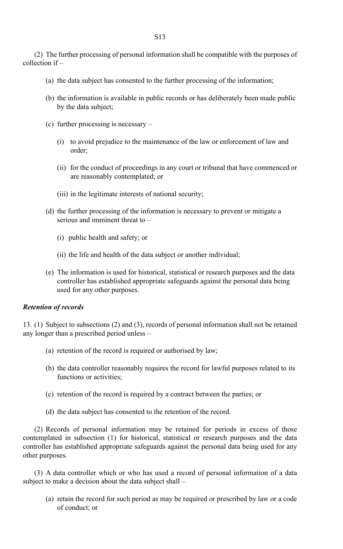(2) The further processing of personal information shall be compatible with the purposes of collection if –

- (a) the data subject has consented to the further processing of the information;
- (b) the information is available in public records or has deliberately been made public by the data subject;
- (c) further processing is necessary
	- (i) to avoid prejudice to the maintenance of the law or enforcement of law and order;
	- (ii) for the conduct of proceedings in any court or tribunal that have commenced or are reasonably contemplated; or
	- (iii) in the legitimate interests of national security;
- (d) the further processing of the information is necessary to prevent or mitigate a serious and imminent threat to –
	- (i) public health and safety; or
	- (ii) the life and health of the data subject or another individual;
- (e) The information is used for historical, statistical or research purposes and the data controller has established appropriate safeguards against the personal data being used for any other purposes.

#### *Retention of records*

13. (1) Subject to subsections (2) and (3), records of personal information shall not be retained any longer than a prescribed period unless –

- (a) retention of the record is required or authorised by law;
- (b) the data controller reasonably requires the record for lawful purposes related to its functions or activities;
- (c) retention of the record is required by a contract between the parties; or
- (d) the data subject has consented to the retention of the record.

(2) Records of personal information may be retained for periods in excess of those contemplated in subsection (1) for historical, statistical or research purposes and the data controller has established appropriate safeguards against the personal data being used for any other purposes.

(3) A data controller which or who has used a record of personal information of a data subject to make a decision about the data subject shall –

(a) retain the record for such period as may be required or prescribed by law or a code of conduct; or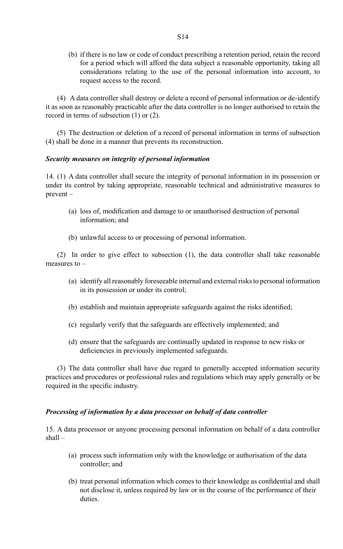(b) if there is no law or code of conduct prescribing a retention period, retain the record for a period which will afford the data subject a reasonable opportunity, taking all considerations relating to the use of the personal information into account, to request access to the record.

(4) A data controller shall destroy or delete a record of personal information or de-identify it as soon as reasonably practicable after the data controller is no longer authorised to retain the record in terms of subsection (1) or (2).

(5) The destruction or deletion of a record of personal information in terms of subsection (4) shall be done in a manner that prevents its reconstruction.

#### *Security measures on integrity of personal information*

14. (1) A data controller shall secure the integrity of personal information in its possession or under its control by taking appropriate, reasonable technical and administrative measures to prevent –

- (a) loss of, modification and damage to or unauthorised destruction of personal information; and
- (b) unlawful access to or processing of personal information.

(2) In order to give effect to subsection (1), the data controller shall take reasonable measures to –

- (a) identify all reasonably foreseeable internal and external risks to personal information in its possession or under its control;
- (b) establish and maintain appropriate safeguards against the risks identified;
- (c) regularly verify that the safeguards are effectively implemented; and
- (d) ensure that the safeguards are continually updated in response to new risks or deficiencies in previously implemented safeguards.

(3) The data controller shall have due regard to generally accepted information security practices and procedures or professional rules and regulations which may apply generally or be required in the specific industry.

#### *Processing of information by a data processor on behalf of data controller*

15. A data processor or anyone processing personal information on behalf of a data controller shall –

- (a) process such information only with the knowledge or authorisation of the data controller; and
- (b) treat personal information which comes to their knowledge as confidential and shall not disclose it, unless required by law or in the course of the performance of their duties.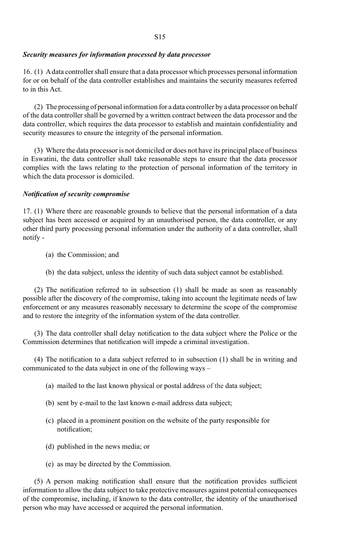#### *Security measures for information processed by data processor*

16. (1) A data controller shall ensure that a data processor which processes personal information for or on behalf of the data controller establishes and maintains the security measures referred to in this Act.

(2) The processing of personal information for a data controller by a data processor on behalf of the data controller shall be governed by a written contract between the data processor and the data controller, which requires the data processor to establish and maintain confidentiality and security measures to ensure the integrity of the personal information.

(3) Where the data processor is not domiciled or does not have its principal place of business in Eswatini, the data controller shall take reasonable steps to ensure that the data processor complies with the laws relating to the protection of personal information of the territory in which the data processor is domiciled.

#### *Notification of security compromise*

17. (1) Where there are reasonable grounds to believe that the personal information of a data subject has been accessed or acquired by an unauthorised person, the data controller, or any other third party processing personal information under the authority of a data controller, shall notify -

- (a) the Commission; and
- (b) the data subject, unless the identity of such data subject cannot be established.

(2) The notification referred to in subsection (1) shall be made as soon as reasonably possible after the discovery of the compromise, taking into account the legitimate needs of law enforcement or any measures reasonably necessary to determine the scope of the compromise and to restore the integrity of the information system of the data controller.

(3) The data controller shall delay notification to the data subject where the Police or the Commission determines that notification will impede a criminal investigation.

(4) The notification to a data subject referred to in subsection (1) shall be in writing and communicated to the data subject in one of the following ways –

- (a) mailed to the last known physical or postal address of the data subject;
- (b) sent by e-mail to the last known e-mail address data subject;
- (c) placed in a prominent position on the website of the party responsible for notification;
- (d) published in the news media; or
- (e) as may be directed by the Commission.

(5) A person making notification shall ensure that the notification provides sufficient information to allow the data subject to take protective measures against potential consequences of the compromise, including, if known to the data controller, the identity of the unauthorised person who may have accessed or acquired the personal information.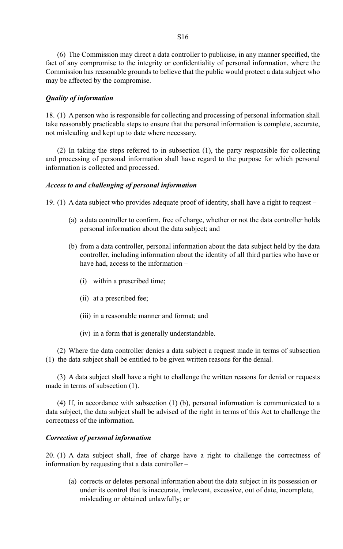(6) The Commission may direct a data controller to publicise, in any manner specified, the fact of any compromise to the integrity or confidentiality of personal information, where the Commission has reasonable grounds to believe that the public would protect a data subject who may be affected by the compromise.

#### *Quality of information*

18. (1) A person who is responsible for collecting and processing of personal information shall take reasonably practicable steps to ensure that the personal information is complete, accurate, not misleading and kept up to date where necessary.

(2) In taking the steps referred to in subsection (1), the party responsible for collecting and processing of personal information shall have regard to the purpose for which personal information is collected and processed.

#### *Access to and challenging of personal information*

19. (1) A data subject who provides adequate proof of identity, shall have a right to request –

- (a) a data controller to confirm, free of charge, whether or not the data controller holds personal information about the data subject; and
- (b) from a data controller, personal information about the data subject held by the data controller, including information about the identity of all third parties who have or have had, access to the information –
	- (i) within a prescribed time;
	- (ii) at a prescribed fee;
	- (iii) in a reasonable manner and format; and
	- (iv) in a form that is generally understandable.

(2) Where the data controller denies a data subject a request made in terms of subsection (1) the data subject shall be entitled to be given written reasons for the denial.

(3) A data subject shall have a right to challenge the written reasons for denial or requests made in terms of subsection (1).

(4) If, in accordance with subsection (1) (b), personal information is communicated to a data subject, the data subject shall be advised of the right in terms of this Act to challenge the correctness of the information.

#### *Correction of personal information*

20. (1) A data subject shall, free of charge have a right to challenge the correctness of information by requesting that a data controller –

 (a) corrects or deletes personal information about the data subject in its possession or under its control that is inaccurate, irrelevant, excessive, out of date, incomplete, misleading or obtained unlawfully; or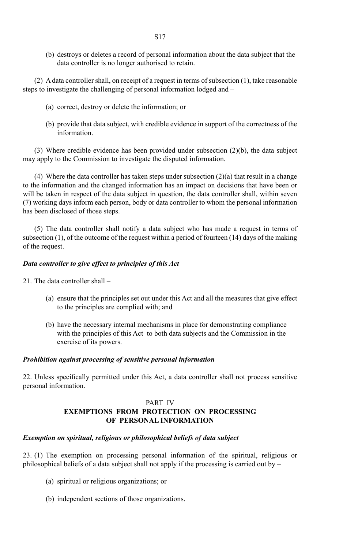(b) destroys or deletes a record of personal information about the data subject that the data controller is no longer authorised to retain.

(2) A data controller shall, on receipt of a request in terms of subsection (1), take reasonable steps to investigate the challenging of personal information lodged and –

- (a) correct, destroy or delete the information; or
- (b) provide that data subject, with credible evidence in support of the correctness of the information.

(3) Where credible evidence has been provided under subsection (2)(b), the data subject may apply to the Commission to investigate the disputed information.

(4) Where the data controller has taken steps under subsection  $(2)(a)$  that result in a change to the information and the changed information has an impact on decisions that have been or will be taken in respect of the data subject in question, the data controller shall, within seven (7) working days inform each person, body or data controller to whom the personal information has been disclosed of those steps.

(5) The data controller shall notify a data subject who has made a request in terms of subsection (1), of the outcome of the request within a period of fourteen (14) days of the making of the request.

#### *Data controller to give effect to principles of this Act*

- 21. The data controller shall
	- (a) ensure that the principles set out under this Act and all the measures that give effect to the principles are complied with; and
	- (b) have the necessary internal mechanisms in place for demonstrating compliance with the principles of this Act to both data subjects and the Commission in the exercise of its powers.

#### *Prohibition against processing of sensitive personal information*

22. Unless specifically permitted under this Act, a data controller shall not process sensitive personal information.

#### PART IV **EXEMPTIONS FROM PROTECTION ON PROCESSING OF PERSONAL INFORMATION**

#### *Exemption on spiritual, religious or philosophical beliefs of data subject*

23. (1) The exemption on processing personal information of the spiritual, religious or philosophical beliefs of a data subject shall not apply if the processing is carried out by –

- (a) spiritual or religious organizations; or
- (b) independent sections of those organizations.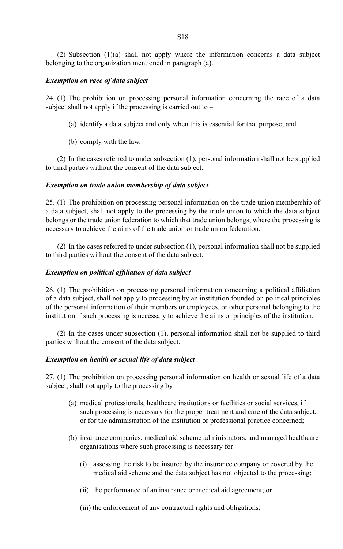#### *Exemption on race of data subject*

24. (1) The prohibition on processing personal information concerning the race of a data subject shall not apply if the processing is carried out to  $-$ 

- (a) identify a data subject and only when this is essential for that purpose; and
- (b) comply with the law.

(2) In the cases referred to under subsection (1), personal information shall not be supplied to third parties without the consent of the data subject.

#### *Exemption on trade union membership of data subject*

25. (1) The prohibition on processing personal information on the trade union membership of a data subject, shall not apply to the processing by the trade union to which the data subject belongs or the trade union federation to which that trade union belongs, where the processing is necessary to achieve the aims of the trade union or trade union federation.

(2) In the cases referred to under subsection (1), personal information shall not be supplied to third parties without the consent of the data subject.

#### *Exemption on political affiliation of data subject*

26. (1) The prohibition on processing personal information concerning a political affiliation of a data subject, shall not apply to processing by an institution founded on political principles of the personal information of their members or employees, or other personal belonging to the institution if such processing is necessary to achieve the aims or principles of the institution.

(2) In the cases under subsection (1), personal information shall not be supplied to third parties without the consent of the data subject.

#### *Exemption on health or sexual life of data subject*

27. (1) The prohibition on processing personal information on health or sexual life of a data subject, shall not apply to the processing by  $-$ 

- (a) medical professionals, healthcare institutions or facilities or social services, if such processing is necessary for the proper treatment and care of the data subject, or for the administration of the institution or professional practice concerned;
- (b) insurance companies, medical aid scheme administrators, and managed healthcare organisations where such processing is necessary for –
	- (i) assessing the risk to be insured by the insurance company or covered by the medical aid scheme and the data subject has not objected to the processing;
	- (ii) the performance of an insurance or medical aid agreement; or
	- (iii) the enforcement of any contractual rights and obligations;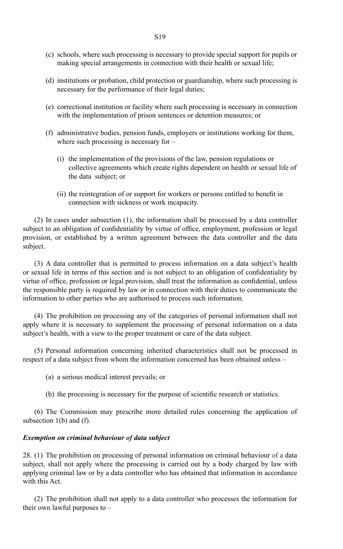- (c) schools, where such processing is necessary to provide special support for pupils or making special arrangements in connection with their health or sexual life;
- (d) institutions or probation, child protection or guardianship, where such processing is necessary for the performance of their legal duties;
- (e) correctional institution or facility where such processing is necessary in connection with the implementation of prison sentences or detention measures; or
- (f) administrative bodies, pension funds, employers or institutions working for them, where such processing is necessary for –
	- (i) the implementation of the provisions of the law, pension regulations or collective agreements which create rights dependent on health or sexual life of the data subject; or
	- (ii) the reintegration of or support for workers or persons entitled to benefit in connection with sickness or work incapacity.

(2) In cases under subsection (1), the information shall be processed by a data controller subject to an obligation of confidentiality by virtue of office, employment, profession or legal provision, or established by a written agreement between the data controller and the data subject.

(3) A data controller that is permitted to process information on a data subject's health or sexual life in terms of this section and is not subject to an obligation of confidentiality by virtue of office, profession or legal provision, shall treat the information as confidential, unless the responsible party is required by law or in connection with their duties to communicate the information to other parties who are authorised to process such information.

(4) The prohibition on processing any of the categories of personal information shall not apply where it is necessary to supplement the processing of personal information on a data subject's health, with a view to the proper treatment or care of the data subject.

(5) Personal information concerning inherited characteristics shall not be processed in respect of a data subject from whom the information concerned has been obtained unless –

(a) a serious medical interest prevails; or

(b) the processing is necessary for the purpose of scientific research or statistics.

(6) The Commission may prescribe more detailed rules concerning the application of subsection 1(b) and (f).

#### *Exemption on criminal behaviour of data subject*

28. (1) The prohibition on processing of personal information on criminal behaviour of a data subject, shall not apply where the processing is carried out by a body charged by law with applying criminal law or by a data controller who has obtained that information in accordance with this Act.

(2) The prohibition shall not apply to a data controller who processes the information for their own lawful purposes to –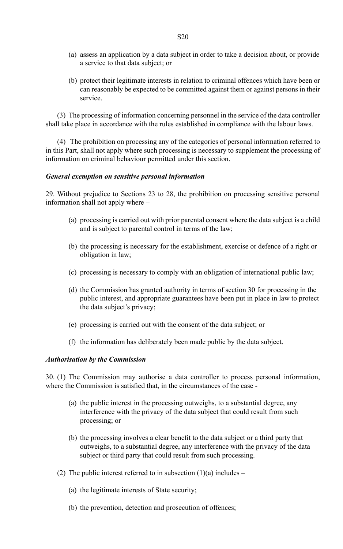- (a) assess an application by a data subject in order to take a decision about, or provide a service to that data subject; or
- (b) protect their legitimate interests in relation to criminal offences which have been or can reasonably be expected to be committed against them or against persons in their service.

(3) The processing of information concerning personnel in the service of the data controller shall take place in accordance with the rules established in compliance with the labour laws.

(4) The prohibition on processing any of the categories of personal information referred to in this Part, shall not apply where such processing is necessary to supplement the processing of information on criminal behaviour permitted under this section.

#### *General exemption on sensitive personal information*

29. Without prejudice to Sections 23 to 28, the prohibition on processing sensitive personal information shall not apply where –

- (a) processing is carried out with prior parental consent where the data subject is a child and is subject to parental control in terms of the law;
- (b) the processing is necessary for the establishment, exercise or defence of a right or obligation in law;
- (c) processing is necessary to comply with an obligation of international public law;
- (d) the Commission has granted authority in terms of section 30 for processing in the public interest, and appropriate guarantees have been put in place in law to protect the data subject's privacy;
- (e) processing is carried out with the consent of the data subject; or
- (f) the information has deliberately been made public by the data subject.

#### *Authorisation by the Commission*

30. (1) The Commission may authorise a data controller to process personal information, where the Commission is satisfied that, in the circumstances of the case -

- (a) the public interest in the processing outweighs, to a substantial degree, any interference with the privacy of the data subject that could result from such processing; or
- (b) the processing involves a clear benefit to the data subject or a third party that outweighs, to a substantial degree, any interference with the privacy of the data subject or third party that could result from such processing.
- (2) The public interest referred to in subsection  $(1)(a)$  includes
	- (a) the legitimate interests of State security;
	- (b) the prevention, detection and prosecution of offences;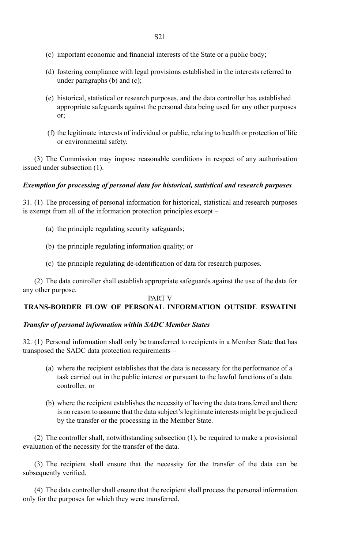- (c) important economic and financial interests of the State or a public body;
- (d) fostering compliance with legal provisions established in the interests referred to under paragraphs  $(b)$  and  $(c)$ :
- (e) historical, statistical or research purposes, and the data controller has established appropriate safeguards against the personal data being used for any other purposes or;
- (f) the legitimate interests of individual or public, relating to health or protection of life or environmental safety.

(3) The Commission may impose reasonable conditions in respect of any authorisation issued under subsection (1).

#### *Exemption for processing of personal data for historical, statistical and research purposes*

31. (1) The processing of personal information for historical, statistical and research purposes is exempt from all of the information protection principles except –

- (a) the principle regulating security safeguards;
- (b) the principle regulating information quality; or
- (c) the principle regulating de-identification of data for research purposes.

(2) The data controller shall establish appropriate safeguards against the use of the data for any other purpose.

#### PART V

#### **TRANS-BORDER FLOW OF PERSONAL INFORMATION OUTSIDE ESWATINI**

#### *Transfer of personal information within SADC Member States*

32. (1) Personal information shall only be transferred to recipients in a Member State that has transposed the SADC data protection requirements –

- (a) where the recipient establishes that the data is necessary for the performance of a task carried out in the public interest or pursuant to the lawful functions of a data controller, or
- (b) where the recipient establishes the necessity of having the data transferred and there is no reason to assume that the data subject's legitimate interests might be prejudiced by the transfer or the processing in the Member State.

(2) The controller shall, notwithstanding subsection (1), be required to make a provisional evaluation of the necessity for the transfer of the data.

(3) The recipient shall ensure that the necessity for the transfer of the data can be subsequently verified.

(4) The data controller shall ensure that the recipient shall process the personal information only for the purposes for which they were transferred.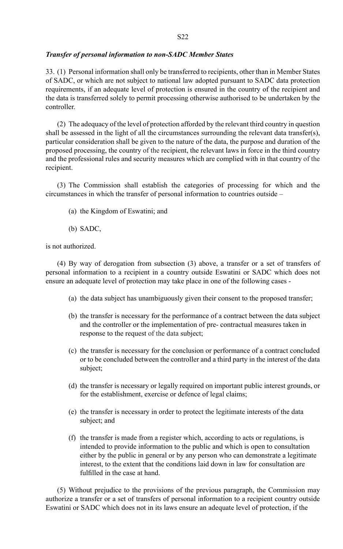#### *Transfer of personal information to non-SADC Member States*

33. (1) Personal information shall only be transferred to recipients, other than in Member States of SADC, or which are not subject to national law adopted pursuant to SADC data protection requirements, if an adequate level of protection is ensured in the country of the recipient and the data is transferred solely to permit processing otherwise authorised to be undertaken by the controller.

(2) The adequacy of the level of protection afforded by the relevant third country in question shall be assessed in the light of all the circumstances surrounding the relevant data transfer(s), particular consideration shall be given to the nature of the data, the purpose and duration of the proposed processing, the country of the recipient, the relevant laws in force in the third country and the professional rules and security measures which are complied with in that country of the recipient.

(3) The Commission shall establish the categories of processing for which and the circumstances in which the transfer of personal information to countries outside –

- (a) the Kingdom of Eswatini; and
- (b) SADC,

is not authorized.

(4) By way of derogation from subsection (3) above, a transfer or a set of transfers of personal information to a recipient in a country outside Eswatini or SADC which does not ensure an adequate level of protection may take place in one of the following cases -

- (a) the data subject has unambiguously given their consent to the proposed transfer;
- (b) the transfer is necessary for the performance of a contract between the data subject and the controller or the implementation of pre- contractual measures taken in response to the request of the data subject;
- (c) the transfer is necessary for the conclusion or performance of a contract concluded or to be concluded between the controller and a third party in the interest of the data subject;
- (d) the transfer is necessary or legally required on important public interest grounds, or for the establishment, exercise or defence of legal claims;
- (e) the transfer is necessary in order to protect the legitimate interests of the data subject; and
- (f) the transfer is made from a register which, according to acts or regulations, is intended to provide information to the public and which is open to consultation either by the public in general or by any person who can demonstrate a legitimate interest, to the extent that the conditions laid down in law for consultation are fulfilled in the case at hand.

(5) Without prejudice to the provisions of the previous paragraph, the Commission may authorize a transfer or a set of transfers of personal information to a recipient country outside Eswatini or SADC which does not in its laws ensure an adequate level of protection, if the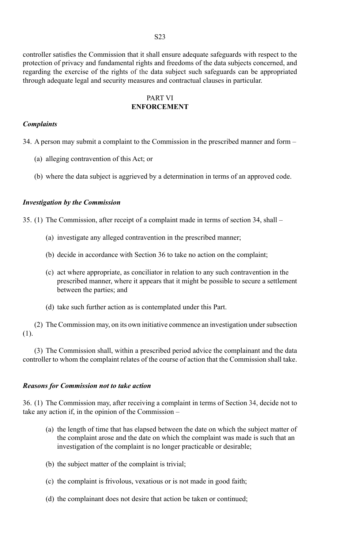controller satisfies the Commission that it shall ensure adequate safeguards with respect to the protection of privacy and fundamental rights and freedoms of the data subjects concerned, and regarding the exercise of the rights of the data subject such safeguards can be appropriated through adequate legal and security measures and contractual clauses in particular.

#### PART VI **ENFORCEMENT**

#### *Complaints*

34. A person may submit a complaint to the Commission in the prescribed manner and form –

- (a) alleging contravention of this Act; or
- (b) where the data subject is aggrieved by a determination in terms of an approved code.

#### *Investigation by the Commission*

35. (1) The Commission, after receipt of a complaint made in terms of section 34, shall –

- (a) investigate any alleged contravention in the prescribed manner;
- (b) decide in accordance with Section 36 to take no action on the complaint;
- (c) act where appropriate, as conciliator in relation to any such contravention in the prescribed manner, where it appears that it might be possible to secure a settlement between the parties; and
- (d) take such further action as is contemplated under this Part.

(2) The Commission may, on its own initiative commence an investigation under subsection (1).

(3) The Commission shall, within a prescribed period advice the complainant and the data controller to whom the complaint relates of the course of action that the Commission shall take.

#### *Reasons for Commission not to take action*

36. (1) The Commission may, after receiving a complaint in terms of Section 34, decide not to take any action if, in the opinion of the Commission –

- (a) the length of time that has elapsed between the date on which the subject matter of the complaint arose and the date on which the complaint was made is such that an investigation of the complaint is no longer practicable or desirable;
- (b) the subject matter of the complaint is trivial;
- (c) the complaint is frivolous, vexatious or is not made in good faith;
- (d) the complainant does not desire that action be taken or continued;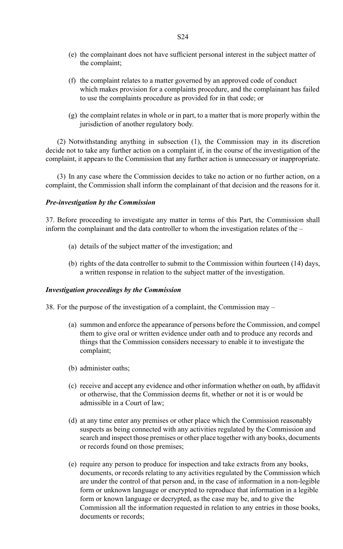- (e) the complainant does not have sufficient personal interest in the subject matter of the complaint;
- (f) the complaint relates to a matter governed by an approved code of conduct which makes provision for a complaints procedure, and the complainant has failed to use the complaints procedure as provided for in that code; or
- (g) the complaint relates in whole or in part, to a matter that is more properly within the jurisdiction of another regulatory body.

(2) Notwithstanding anything in subsection (1), the Commission may in its discretion decide not to take any further action on a complaint if, in the course of the investigation of the complaint, it appears to the Commission that any further action is unnecessary or inappropriate.

(3) In any case where the Commission decides to take no action or no further action, on a complaint, the Commission shall inform the complainant of that decision and the reasons for it.

#### *Pre-investigation by the Commission*

37. Before proceeding to investigate any matter in terms of this Part, the Commission shall inform the complainant and the data controller to whom the investigation relates of the –

- (a) details of the subject matter of the investigation; and
- (b) rights of the data controller to submit to the Commission within fourteen (14) days, a written response in relation to the subject matter of the investigation.

#### *Investigation proceedings by the Commission*

38. For the purpose of the investigation of a complaint, the Commission may –

- (a) summon and enforce the appearance of persons before the Commission, and compel them to give oral or written evidence under oath and to produce any records and things that the Commission considers necessary to enable it to investigate the complaint;
- (b) administer oaths;
- (c) receive and accept any evidence and other information whether on oath, by affidavit or otherwise, that the Commission deems fit, whether or not it is or would be admissible in a Court of law;
- (d) at any time enter any premises or other place which the Commission reasonably suspects as being connected with any activities regulated by the Commission and search and inspect those premises or other place together with any books, documents or records found on those premises;
- (e) require any person to produce for inspection and take extracts from any books, documents, or records relating to any activities regulated by the Commission which are under the control of that person and, in the case of information in a non-legible form or unknown language or encrypted to reproduce that information in a legible form or known language or decrypted, as the case may be, and to give the Commission all the information requested in relation to any entries in those books, documents or records;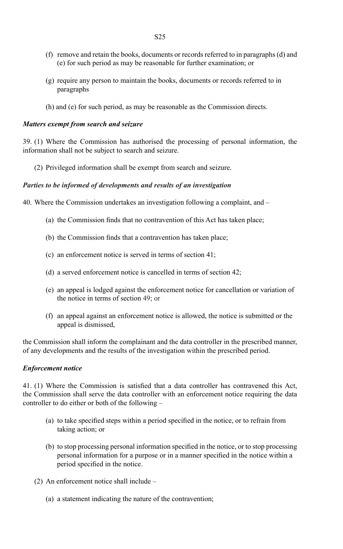- (f) remove and retain the books, documents or records referred to in paragraphs (d) and (e) for such period as may be reasonable for further examination; or
- (g) require any person to maintain the books, documents or records referred to in paragraphs
- (h) and (e) for such period, as may be reasonable as the Commission directs.

#### *Matters exempt from search and seizure*

39. (1) Where the Commission has authorised the processing of personal information, the information shall not be subject to search and seizure.

(2) Privileged information shall be exempt from search and seizure.

#### *Parties to be informed of developments and results of an investigation*

40. Where the Commission undertakes an investigation following a complaint, and –

- (a) the Commission finds that no contravention of this Act has taken place;
- (b) the Commission finds that a contravention has taken place;
- (c) an enforcement notice is served in terms of section 41;
- (d) a served enforcement notice is cancelled in terms of section 42;
- (e) an appeal is lodged against the enforcement notice for cancellation or variation of the notice in terms of section 49; or
- (f) an appeal against an enforcement notice is allowed, the notice is submitted or the appeal is dismissed,

the Commission shall inform the complainant and the data controller in the prescribed manner, of any developments and the results of the investigation within the prescribed period.

#### *Enforcement notice*

41. (1) Where the Commission is satisfied that a data controller has contravened this Act, the Commission shall serve the data controller with an enforcement notice requiring the data controller to do either or both of the following –

- (a) to take specified steps within a period specified in the notice, or to refrain from taking action; or
- (b) to stop processing personal information specified in the notice, or to stop processing personal information for a purpose or in a manner specified in the notice within a period specified in the notice.
- (2) An enforcement notice shall include
	- (a) a statement indicating the nature of the contravention;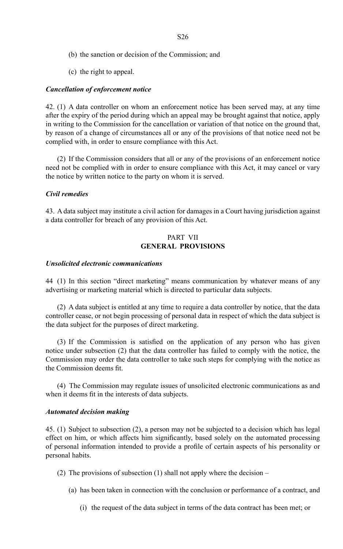- (b) the sanction or decision of the Commission; and
- (c) the right to appeal.

#### *Cancellation of enforcement notice*

42. (1) A data controller on whom an enforcement notice has been served may, at any time after the expiry of the period during which an appeal may be brought against that notice, apply in writing to the Commission for the cancellation or variation of that notice on the ground that, by reason of a change of circumstances all or any of the provisions of that notice need not be complied with, in order to ensure compliance with this Act.

(2) If the Commission considers that all or any of the provisions of an enforcement notice need not be complied with in order to ensure compliance with this Act, it may cancel or vary the notice by written notice to the party on whom it is served.

#### *Civil remedies*

43. A data subject may institute a civil action for damages in a Court having jurisdiction against a data controller for breach of any provision of this Act.

#### PART VII **GENERAL PROVISIONS**

#### *Unsolicited electronic communications*

44 (1) In this section "direct marketing" means communication by whatever means of any advertising or marketing material which is directed to particular data subjects.

(2) A data subject is entitled at any time to require a data controller by notice, that the data controller cease, or not begin processing of personal data in respect of which the data subject is the data subject for the purposes of direct marketing.

(3) If the Commission is satisfied on the application of any person who has given notice under subsection (2) that the data controller has failed to comply with the notice, the Commission may order the data controller to take such steps for complying with the notice as the Commission deems fit.

(4) The Commission may regulate issues of unsolicited electronic communications as and when it deems fit in the interests of data subjects.

#### *Automated decision making*

45. (1) Subject to subsection (2), a person may not be subjected to a decision which has legal effect on him, or which affects him significantly, based solely on the automated processing of personal information intended to provide a profile of certain aspects of his personality or personal habits.

- (2) The provisions of subsection  $(1)$  shall not apply where the decision
	- (a) has been taken in connection with the conclusion or performance of a contract, and
		- (i) the request of the data subject in terms of the data contract has been met; or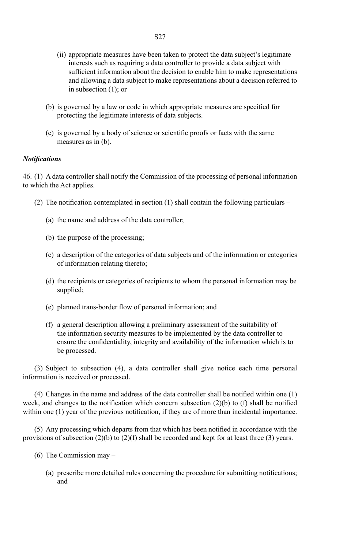- (ii) appropriate measures have been taken to protect the data subject's legitimate interests such as requiring a data controller to provide a data subject with sufficient information about the decision to enable him to make representations and allowing a data subject to make representations about a decision referred to in subsection (1); or
- (b) is governed by a law or code in which appropriate measures are specified for protecting the legitimate interests of data subjects.
- (c) is governed by a body of science or scientific proofs or facts with the same measures as in (b).

#### *Notifications*

46. (1) A data controller shall notify the Commission of the processing of personal information to which the Act applies.

- (2) The notification contemplated in section (1) shall contain the following particulars
	- (a) the name and address of the data controller;
	- (b) the purpose of the processing;
	- (c) a description of the categories of data subjects and of the information or categories of information relating thereto;
	- (d) the recipients or categories of recipients to whom the personal information may be supplied;
	- (e) planned trans-border flow of personal information; and
	- (f) a general description allowing a preliminary assessment of the suitability of the information security measures to be implemented by the data controller to ensure the confidentiality, integrity and availability of the information which is to be processed.

(3) Subject to subsection (4), a data controller shall give notice each time personal information is received or processed.

(4) Changes in the name and address of the data controller shall be notified within one (1) week, and changes to the notification which concern subsection  $(2)(b)$  to  $(f)$  shall be notified within one (1) year of the previous notification, if they are of more than incidental importance.

(5) Any processing which departs from that which has been notified in accordance with the provisions of subsection (2)(b) to (2)(f) shall be recorded and kept for at least three (3) years.

- (6) The Commission may
	- (a) prescribe more detailed rules concerning the procedure for submitting notifications; and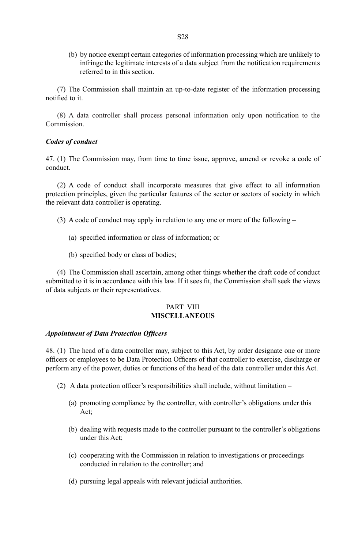(b) by notice exempt certain categories of information processing which are unlikely to infringe the legitimate interests of a data subject from the notification requirements referred to in this section.

(7) The Commission shall maintain an up-to-date register of the information processing notified to it.

(8) A data controller shall process personal information only upon notification to the Commission.

#### *Codes of conduct*

47. (1) The Commission may, from time to time issue, approve, amend or revoke a code of conduct.

(2) A code of conduct shall incorporate measures that give effect to all information protection principles, given the particular features of the sector or sectors of society in which the relevant data controller is operating.

- (3) A code of conduct may apply in relation to any one or more of the following
	- (a) specified information or class of information; or
	- (b) specified body or class of bodies;

(4) The Commission shall ascertain, among other things whether the draft code of conduct submitted to it is in accordance with this law. If it sees fit, the Commission shall seek the views of data subjects or their representatives.

#### PART VIII **MISCELLANEOUS**

#### *Appointment of Data Protection Officers*

48. (1) The head of a data controller may, subject to this Act, by order designate one or more officers or employees to be Data Protection Officers of that controller to exercise, discharge or perform any of the power, duties or functions of the head of the data controller under this Act.

- (2) A data protection officer's responsibilities shall include, without limitation
	- (a) promoting compliance by the controller, with controller's obligations under this Act;
	- (b) dealing with requests made to the controller pursuant to the controller's obligations under this Act;
	- (c) cooperating with the Commission in relation to investigations or proceedings conducted in relation to the controller; and
	- (d) pursuing legal appeals with relevant judicial authorities.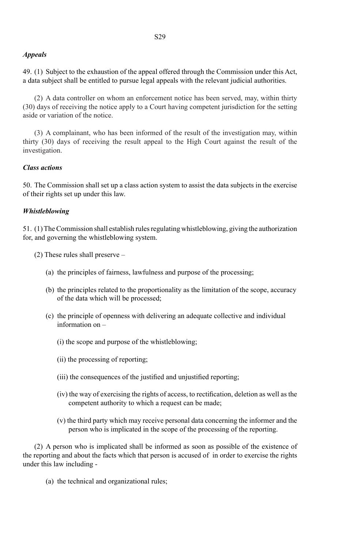#### *Appeals*

49. (1) Subject to the exhaustion of the appeal offered through the Commission under this Act, a data subject shall be entitled to pursue legal appeals with the relevant judicial authorities.

(2) A data controller on whom an enforcement notice has been served, may, within thirty (30) days of receiving the notice apply to a Court having competent jurisdiction for the setting aside or variation of the notice.

(3) A complainant, who has been informed of the result of the investigation may, within thirty (30) days of receiving the result appeal to the High Court against the result of the investigation.

#### *Class actions*

50. The Commission shall set up a class action system to assist the data subjects in the exercise of their rights set up under this law.

#### *Whistleblowing*

51. (1) The Commission shall establish rules regulating whistleblowing, giving the authorization for, and governing the whistleblowing system.

- (2) These rules shall preserve
	- (a) the principles of fairness, lawfulness and purpose of the processing;
	- (b) the principles related to the proportionality as the limitation of the scope, accuracy of the data which will be processed;
	- (c) the principle of openness with delivering an adequate collective and individual information on –
		- (i) the scope and purpose of the whistleblowing;
		- (ii) the processing of reporting;
		- (iii) the consequences of the justified and unjustified reporting;
		- (iv) the way of exercising the rights of access, to rectification, deletion as well as the competent authority to which a request can be made;
		- (v) the third party which may receive personal data concerning the informer and the person who is implicated in the scope of the processing of the reporting.

(2) A person who is implicated shall be informed as soon as possible of the existence of the reporting and about the facts which that person is accused of in order to exercise the rights under this law including -

(a) the technical and organizational rules;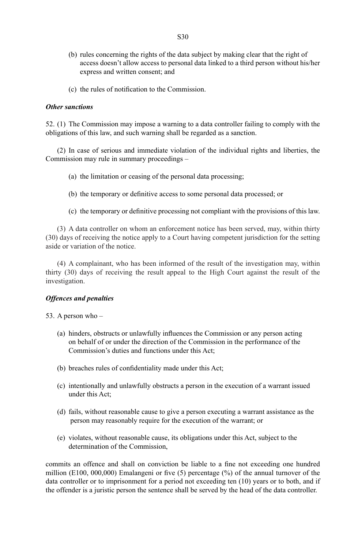- (b) rules concerning the rights of the data subject by making clear that the right of access doesn't allow access to personal data linked to a third person without his/her express and written consent; and
- (c) the rules of notification to the Commission.

#### *Other sanctions*

52. (1) The Commission may impose a warning to a data controller failing to comply with the obligations of this law, and such warning shall be regarded as a sanction.

(2) In case of serious and immediate violation of the individual rights and liberties, the Commission may rule in summary proceedings –

- (a) the limitation or ceasing of the personal data processing;
- (b) the temporary or definitive access to some personal data processed; or
- (c) the temporary or definitive processing not compliant with the provisions of this law.

(3) A data controller on whom an enforcement notice has been served, may, within thirty (30) days of receiving the notice apply to a Court having competent jurisdiction for the setting aside or variation of the notice.

(4) A complainant, who has been informed of the result of the investigation may, within thirty (30) days of receiving the result appeal to the High Court against the result of the investigation.

#### *Offences and penalties*

53. A person who –

- (a) hinders, obstructs or unlawfully influences the Commission or any person acting on behalf of or under the direction of the Commission in the performance of the Commission's duties and functions under this Act;
- (b) breaches rules of confidentiality made under this Act;
- (c) intentionally and unlawfully obstructs a person in the execution of a warrant issued under this Act;
- (d) fails, without reasonable cause to give a person executing a warrant assistance as the person may reasonably require for the execution of the warrant; or
- (e) violates, without reasonable cause, its obligations under this Act, subject to the determination of the Commission,

commits an offence and shall on conviction be liable to a fine not exceeding one hundred million (E100, 000,000) Emalangeni or five (5) percentage (%) of the annual turnover of the data controller or to imprisonment for a period not exceeding ten (10) years or to both, and if the offender is a juristic person the sentence shall be served by the head of the data controller.